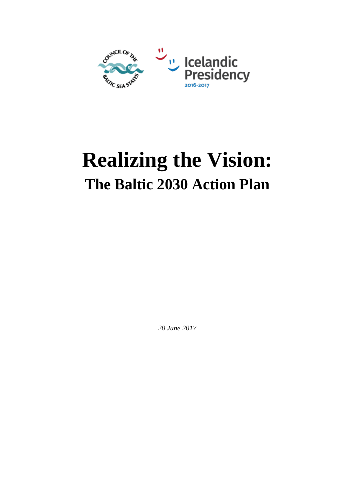

# **Realizing the Vision: The Baltic 2030 Action Plan**

*20 June 2017*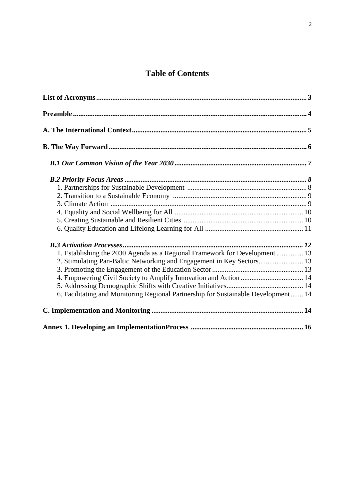# **Table of Contents**

| 1. Establishing the 2030 Agenda as a Regional Framework for Development 13         |  |
|------------------------------------------------------------------------------------|--|
| 2. Stimulating Pan-Baltic Networking and Engagement in Key Sectors 13              |  |
|                                                                                    |  |
| 4. Empowering Civil Society to Amplify Innovation and Action  14                   |  |
|                                                                                    |  |
| 6. Facilitating and Monitoring Regional Partnership for Sustainable Development 14 |  |
|                                                                                    |  |
|                                                                                    |  |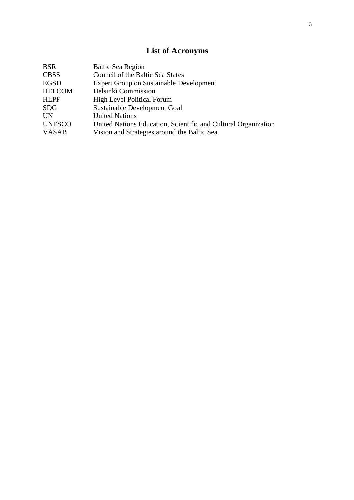# **List of Acronyms**

| <b>BSR</b>    | <b>Baltic Sea Region</b>                                       |
|---------------|----------------------------------------------------------------|
| <b>CBSS</b>   | Council of the Baltic Sea States                               |
| <b>EGSD</b>   | <b>Expert Group on Sustainable Development</b>                 |
| <b>HELCOM</b> | Helsinki Commission                                            |
| <b>HLPF</b>   | <b>High Level Political Forum</b>                              |
| <b>SDG</b>    | Sustainable Development Goal                                   |
| <b>UN</b>     | <b>United Nations</b>                                          |
| <b>UNESCO</b> | United Nations Education, Scientific and Cultural Organization |
| <b>VASAB</b>  | Vision and Strategies around the Baltic Sea                    |
|               |                                                                |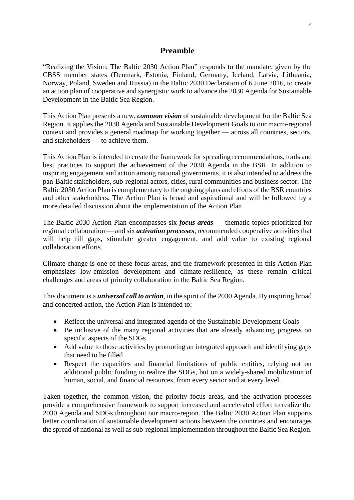## **Preamble**

"Realizing the Vision: The Baltic 2030 Action Plan" responds to the mandate, given by the CBSS member states (Denmark, Estonia, Finland, Germany, Iceland, Latvia, Lithuania, Norway, Poland, Sweden and Russia) in the Baltic 2030 Declaration of 6 June 2016, to create an action plan of cooperative and synergistic work to advance the 2030 Agenda for Sustainable Development in the Baltic Sea Region.

This Action Plan presents a new, *common vision* of sustainable development for the Baltic Sea Region. It applies the 2030 Agenda and Sustainable Development Goals to our macro-regional context and provides a general roadmap for working together — across all countries, sectors, and stakeholders — to achieve them.

This Action Plan is intended to create the framework for spreading recommendations, tools and best practices to support the achievement of the 2030 Agenda in the BSR. In addition to inspiring engagement and action among national governments, it is also intended to address the pan-Baltic stakeholders, sub-regional actors, cities, rural communities and business sector. The Baltic 2030 Action Plan is complementary to the ongoing plans and efforts of the BSR countries and other stakeholders. The Action Plan is broad and aspirational and will be followed by a more detailed discussion about the implementation of the Action Plan

The Baltic 2030 Action Plan encompasses six *focus areas* — thematic topics prioritized for regional collaboration — and six *activation processes*, recommended cooperative activities that will help fill gaps, stimulate greater engagement, and add value to existing regional collaboration efforts.

Climate change is one of these focus areas, and the framework presented in this Action Plan emphasizes low-emission development and climate-resilience, as these remain critical challenges and areas of priority collaboration in the Baltic Sea Region.

This document is a *universal call to action*, in the spirit of the 2030 Agenda. By inspiring broad and concerted action, the Action Plan is intended to:

- Reflect the universal and integrated agenda of the Sustainable Development Goals
- Be inclusive of the many regional activities that are already advancing progress on specific aspects of the SDGs
- Add value to those activities by promoting an integrated approach and identifying gaps that need to be filled
- Respect the capacities and financial limitations of public entities, relying not on additional public funding to realize the SDGs, but on a widely-shared mobilization of human, social, and financial resources, from every sector and at every level.

Taken together, the common vision, the priority focus areas, and the activation processes provide a comprehensive framework to support increased and accelerated effort to realize the 2030 Agenda and SDGs throughout our macro-region. The Baltic 2030 Action Plan supports better coordination of sustainable development actions between the countries and encourages the spread of national as well as sub-regional implementation throughout the Baltic Sea Region.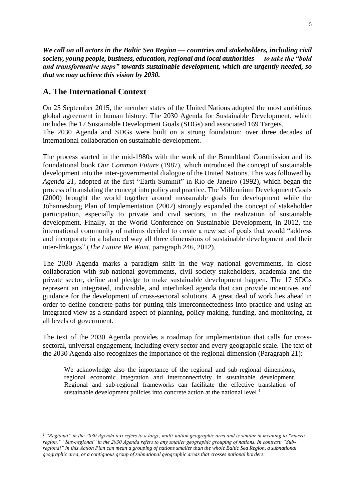*We call on all actors in the Baltic Sea Region — countries and stakeholders, including civil society, young people, business, education, regional and local authorities — to take the "bold and transformative steps" towards sustainable development, which are urgently needed, so that we may achieve this vision by 2030.*

#### **A. The International Context**

1

On 25 September 2015, the member states of the United Nations adopted the most ambitious global agreement in human history: The 2030 Agenda for Sustainable Development, which includes the 17 Sustainable Development Goals (SDGs) and associated 169 Targets. The 2030 Agenda and SDGs were built on a strong foundation: over three decades of international collaboration on sustainable development.

The process started in the mid-1980s with the work of the Brundtland Commission and its foundational book *Our Common Future* (1987), which introduced the concept of sustainable development into the inter-governmental dialogue of the United Nations. This was followed by *Agenda 21*, adopted at the first "Earth Summit" in Rio de Janeiro (1992), which began the process of translating the concept into policy and practice. The Millennium Development Goals (2000) brought the world together around measurable goals for development while the Johannesburg Plan of Implementation (2002) strongly expanded the concept of stakeholder participation, especially to private and civil sectors, in the realization of sustainable development. Finally, at the World Conference on Sustainable Development, in 2012, the international community of nations decided to create a new set of goals that would "address and incorporate in a balanced way all three dimensions of sustainable development and their inter-linkages" (*The Future We Want*, paragraph 246, 2012).

The 2030 Agenda marks a paradigm shift in the way national governments, in close collaboration with sub-national governments, civil society stakeholders, academia and the private sector, define and pledge to make sustainable development happen. The 17 SDGs represent an integrated, indivisible, and interlinked agenda that can provide incentives and guidance for the development of cross-sectoral solutions. A great deal of work lies ahead in order to define concrete paths for putting this interconnectedness into practice and using an integrated view as a standard aspect of planning, policy-making, funding, and monitoring, at all levels of government.

The text of the 2030 Agenda provides a roadmap for implementation that calls for crosssectoral, universal engagement, including every sector and every geographic scale. The text of the 2030 Agenda also recognizes the importance of the regional dimension (Paragraph 21):

We acknowledge also the importance of the regional and sub-regional dimensions, regional economic integration and interconnectivity in sustainable development. Regional and sub-regional frameworks can facilitate the effective translation of sustainable development policies into concrete action at the national level.<sup>1</sup>

*<sup>1</sup> "Regional" in the 2030 Agenda text refers to a large, multi-nation geographic area and is similar in meaning to "macroregion." "Sub-regional" in the 2030 Agenda refers to any smaller geographic grouping of nations. In contrast, "Subregional" in this Action Plan can mean a grouping of nations smaller than the whole Baltic Sea Region, a subnational geographic area, or a contiguous group of subnational geographic areas that crosses national borders.*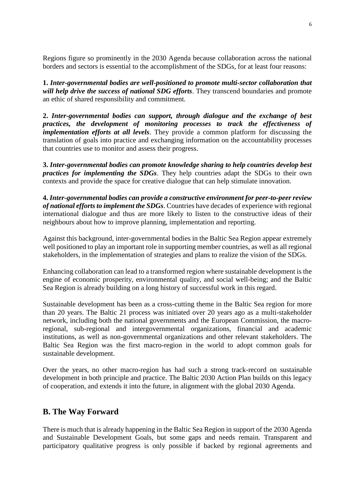Regions figure so prominently in the 2030 Agenda because collaboration across the national borders and sectors is essential to the accomplishment of the SDGs, for at least four reasons:

**1.** *Inter-governmental bodies are well-positioned to promote multi-sector collaboration that will help drive the success of national SDG efforts*. They transcend boundaries and promote an ethic of shared responsibility and commitment.

**2.** *Inter-governmental bodies can support, through dialogue and the exchange of best practices, the development of monitoring processes to track the effectiveness of implementation efforts at all levels*. They provide a common platform for discussing the translation of goals into practice and exchanging information on the accountability processes that countries use to monitor and assess their progress.

**3.** *Inter-governmental bodies can promote knowledge sharing to help countries develop best practices for implementing the SDGs*. They help countries adapt the SDGs to their own contexts and provide the space for creative dialogue that can help stimulate innovation.

**4.** *Inter-governmental bodies can provide a constructive environment for peer-to-peer review of national efforts to implement the SDGs*. Countries have decades of experience with regional international dialogue and thus are more likely to listen to the constructive ideas of their neighbours about how to improve planning, implementation and reporting.

Against this background, inter-governmental bodies in the Baltic Sea Region appear extremely well positioned to play an important role in supporting member countries, as well as all regional stakeholders, in the implementation of strategies and plans to realize the vision of the SDGs.

Enhancing collaboration can lead to a transformed region where sustainable development is the engine of economic prosperity, environmental quality, and social well-being; and the Baltic Sea Region is already building on a long history of successful work in this regard.

Sustainable development has been as a cross-cutting theme in the Baltic Sea region for more than 20 years. The Baltic 21 process was initiated over 20 years ago as a multi-stakeholder network, including both the national governments and the European Commission, the macroregional, sub-regional and intergovernmental organizations, financial and academic institutions, as well as non-governmental organizations and other relevant stakeholders. The Baltic Sea Region was the first macro-region in the world to adopt common goals for sustainable development.

Over the years, no other macro-region has had such a strong track-record on sustainable development in both principle and practice. The Baltic 2030 Action Plan builds on this legacy of cooperation, and extends it into the future, in alignment with the global 2030 Agenda.

# **B. The Way Forward**

There is much that is already happening in the Baltic Sea Region in support of the 2030 Agenda and Sustainable Development Goals, but some gaps and needs remain. Transparent and participatory qualitative progress is only possible if backed by regional agreements and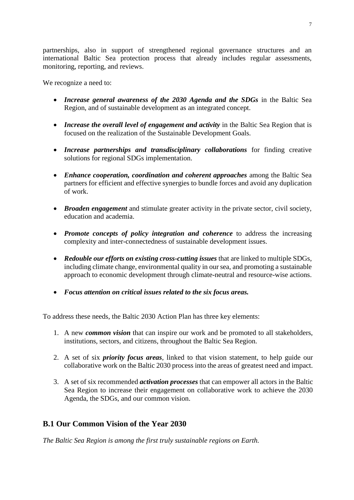partnerships, also in support of strengthened regional governance structures and an international Baltic Sea protection process that already includes regular assessments, monitoring, reporting, and reviews.

We recognize a need to:

- *Increase general awareness of the 2030 Agenda and the SDGs* in the Baltic Sea Region, and of sustainable development as an integrated concept.
- *Increase the overall level of engagement and activity* in the Baltic Sea Region that is focused on the realization of the Sustainable Development Goals.
- *Increase partnerships and transdisciplinary collaborations* for finding creative solutions for regional SDGs implementation.
- *Enhance cooperation, coordination and coherent approaches* among the Baltic Sea partners for efficient and effective synergies to bundle forces and avoid any duplication of work.
- *Broaden engagement* and stimulate greater activity in the private sector, civil society, education and academia.
- *Promote concepts of policy integration and coherence* to address the increasing complexity and inter-connectedness of sustainable development issues.
- *Redouble our efforts on existing cross-cutting issues* that are linked to multiple SDGs, including climate change, environmental quality in our sea, and promoting a sustainable approach to economic development through climate-neutral and resource-wise actions.
- *Focus attention on critical issues related to the six focus areas.*

To address these needs, the Baltic 2030 Action Plan has three key elements:

- 1. A new *common vision* that can inspire our work and be promoted to all stakeholders, institutions, sectors, and citizens, throughout the Baltic Sea Region.
- 2. A set of six *priority focus areas*, linked to that vision statement, to help guide our collaborative work on the Baltic 2030 process into the areas of greatest need and impact.
- 3. A set of six recommended *activation processes* that can empower all actors in the Baltic Sea Region to increase their engagement on collaborative work to achieve the 2030 Agenda, the SDGs, and our common vision.

# **B.1 Our Common Vision of the Year 2030**

*The Baltic Sea Region is among the first truly sustainable regions on Earth.*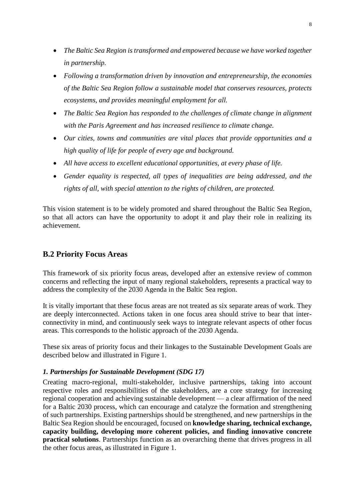- *The Baltic Sea Region is transformed and empowered because we have worked together in partnership.*
- *Following a transformation driven by innovation and entrepreneurship, the economies of the Baltic Sea Region follow a sustainable model that conserves resources, protects ecosystems, and provides meaningful employment for all.*
- *The Baltic Sea Region has responded to the challenges of climate change in alignment with the Paris Agreement and has increased resilience to climate change.*
- *Our cities, towns and communities are vital places that provide opportunities and a high quality of life for people of every age and background.*
- *All have access to excellent educational opportunities, at every phase of life.*
- *Gender equality is respected, all types of inequalities are being addressed, and the rights of all, with special attention to the rights of children, are protected.*

This vision statement is to be widely promoted and shared throughout the Baltic Sea Region, so that all actors can have the opportunity to adopt it and play their role in realizing its achievement.

# **B.2 Priority Focus Areas**

This framework of six priority focus areas, developed after an extensive review of common concerns and reflecting the input of many regional stakeholders, represents a practical way to address the complexity of the 2030 Agenda in the Baltic Sea region.

It is vitally important that these focus areas are not treated as six separate areas of work. They are deeply interconnected. Actions taken in one focus area should strive to bear that interconnectivity in mind, and continuously seek ways to integrate relevant aspects of other focus areas. This corresponds to the holistic approach of the 2030 Agenda.

These six areas of priority focus and their linkages to the Sustainable Development Goals are described below and illustrated in Figure 1.

#### *1. Partnerships for Sustainable Development (SDG 17)*

Creating macro-regional, multi-stakeholder, inclusive partnerships, taking into account respective roles and responsibilities of the stakeholders, are a core strategy for increasing regional cooperation and achieving sustainable development — a clear affirmation of the need for a Baltic 2030 process, which can encourage and catalyze the formation and strengthening of such partnerships. Existing partnerships should be strengthened, and new partnerships in the Baltic Sea Region should be encouraged, focused on **knowledge sharing, technical exchange, capacity building, developing more coherent policies, and finding innovative concrete practical solutions**. Partnerships function as an overarching theme that drives progress in all the other focus areas, as illustrated in Figure 1.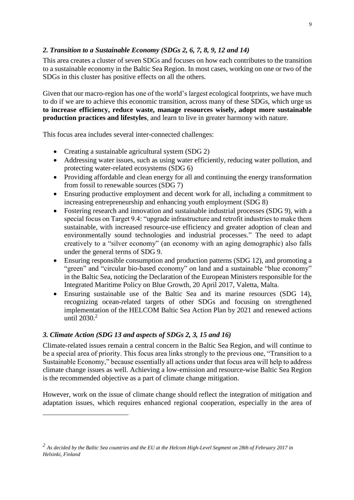## *2. Transition to a Sustainable Economy (SDGs 2, 6, 7, 8, 9, 12 and 14)*

This area creates a cluster of seven SDGs and focuses on how each contributes to the transition to a sustainable economy in the Baltic Sea Region. In most cases, working on one or two of the SDGs in this cluster has positive effects on all the others.

Given that our macro-region has one of the world's largest ecological footprints, we have much to do if we are to achieve this economic transition, across many of these SDGs, which urge us **to increase efficiency, reduce waste, manage resources wisely, adopt more sustainable production practices and lifestyles**, and learn to live in greater harmony with nature.

This focus area includes several inter-connected challenges:

- Creating a sustainable agricultural system (SDG 2)
- Addressing water issues, such as using water efficiently, reducing water pollution, and protecting water-related ecosystems (SDG 6)
- Providing affordable and clean energy for all and continuing the energy transformation from fossil to renewable sources (SDG 7)
- Ensuring productive employment and decent work for all, including a commitment to increasing entrepreneurship and enhancing youth employment (SDG 8)
- Fostering research and innovation and sustainable industrial processes (SDG 9), with a special focus on Target 9.4: "upgrade infrastructure and retrofit industries to make them sustainable, with increased resource-use efficiency and greater adoption of clean and environmentally sound technologies and industrial processes." The need to adapt creatively to a "silver economy" (an economy with an aging demographic) also falls under the general terms of SDG 9.
- Ensuring responsible consumption and production patterns (SDG 12), and promoting a "green" and "circular bio-based economy" on land and a sustainable "blue economy" in the Baltic Sea, noticing the Declaration of the European Ministers responsible for the Integrated Maritime Policy on Blue Growth, 20 April 2017, Valetta, Malta.
- Ensuring sustainable use of the Baltic Sea and its marine resources (SDG 14), recognizing ocean-related targets of other SDGs and focusing on strengthened implementation of the HELCOM Baltic Sea Action Plan by 2021 and renewed actions until  $2030.<sup>2</sup>$

#### *3. Climate Action (SDG 13 and aspects of SDGs 2, 3, 15 and 16)*

1

Climate-related issues remain a central concern in the Baltic Sea Region, and will continue to be a special area of priority. This focus area links strongly to the previous one, "Transition to a Sustainable Economy," because essentially all actions under that focus area will help to address climate change issues as well. Achieving a low-emission and resource-wise Baltic Sea Region is the recommended objective as a part of climate change mitigation.

However, work on the issue of climate change should reflect the integration of mitigation and adaptation issues, which requires enhanced regional cooperation, especially in the area of

*<sup>2</sup> As decided by the Baltic Sea countries and the EU at the Helcom High-Level Segment on 28th of February 2017 in Helsinki, Finland*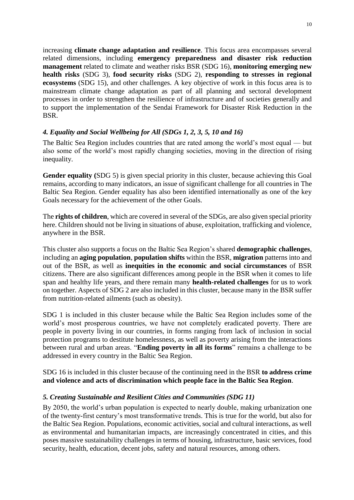increasing **climate change adaptation and resilience**. This focus area encompasses several related dimensions, including **emergency preparedness and disaster risk reduction management** related to climate and weather risks BSR (SDG 16), **monitoring emerging new health risks** (SDG 3), **food security risks** (SDG 2), **responding to stresses in regional ecosystems** (SDG 15), and other challenges. A key objective of work in this focus area is to mainstream climate change adaptation as part of all planning and sectoral development processes in order to strengthen the resilience of infrastructure and of societies generally and to support the implementation of the Sendai Framework for Disaster Risk Reduction in the BSR.

## *4. Equality and Social Wellbeing for All (SDGs 1, 2, 3, 5, 10 and 16)*

The Baltic Sea Region includes countries that are rated among the world's most equal — but also some of the world's most rapidly changing societies, moving in the direction of rising inequality.

**Gender equality (**SDG 5) is given special priority in this cluster, because achieving this Goal remains, according to many indicators, an issue of significant challenge for all countries in The Baltic Sea Region. Gender equality has also been identified internationally as one of the key Goals necessary for the achievement of the other Goals.

The **rights of children**, which are covered in several of the SDGs, are also given special priority here. Children should not be living in situations of abuse, exploitation, trafficking and violence, anywhere in the BSR.

This cluster also supports a focus on the Baltic Sea Region's shared **demographic challenges**, including an **aging population**, **population shifts** within the BSR, **migration** patterns into and out of the BSR, as well as **inequities in the economic and social circumstances** of BSR citizens. There are also significant differences among people in the BSR when it comes to life span and healthy life years, and there remain many **health-related challenges** for us to work on together. Aspects of SDG 2 are also included in this cluster, because many in the BSR suffer from nutrition-related ailments (such as obesity).

SDG 1 is included in this cluster because while the Baltic Sea Region includes some of the world's most prosperous countries, we have not completely eradicated poverty. There are people in poverty living in our countries, in forms ranging from lack of inclusion in social protection programs to destitute homelessness, as well as poverty arising from the interactions between rural and urban areas. "**Ending poverty in all its forms**" remains a challenge to be addressed in every country in the Baltic Sea Region.

SDG 16 is included in this cluster because of the continuing need in the BSR **to address crime and violence and acts of discrimination which people face in the Baltic Sea Region**.

#### *5. Creating Sustainable and Resilient Cities and Communities (SDG 11)*

By 2050, the world's urban population is expected to nearly double, making urbanization one of the twenty-first century's most transformative trends. This is true for the world, but also for the Baltic Sea Region. Populations, economic activities, social and cultural interactions, as well as environmental and humanitarian impacts, are increasingly concentrated in cities, and this poses massive sustainability challenges in terms of housing, infrastructure, basic services, food security, health, education, decent jobs, safety and natural resources, among others.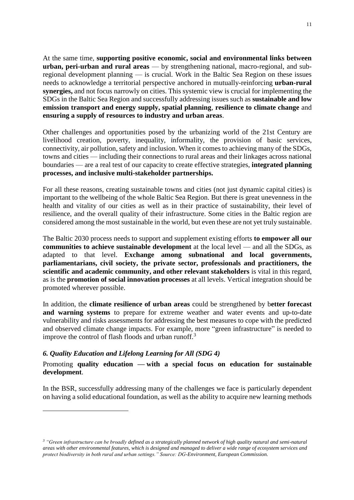At the same time, **supporting positive economic, social and environmental links between urban, peri-urban and rural areas** — by strengthening national, macro-regional, and subregional development planning — is crucial. Work in the Baltic Sea Region on these issues needs to acknowledge a territorial perspective anchored in mutually-reinforcing **urban-rural synergies,** and not focus narrowly on cities. This systemic view is crucial for implementing the SDGs in the Baltic Sea Region and successfully addressing issues such as **sustainable and low emission transport and energy supply, spatial planning**, **resilience to climate change** and **ensuring a supply of resources to industry and urban areas**.

Other challenges and opportunities posed by the urbanizing world of the 21st Century are livelihood creation, poverty, inequality, informality, the provision of basic services, connectivity, air pollution, safety and inclusion. When it comes to achieving many of the SDGs, towns and cities — including their connections to rural areas and their linkages across national boundaries — are a real test of our capacity to create effective strategies, **integrated planning processes, and inclusive multi-stakeholder partnerships.**

For all these reasons, creating sustainable towns and cities (not just dynamic capital cities) is important to the wellbeing of the whole Baltic Sea Region. But there is great unevenness in the health and vitality of our cities as well as in their practice of sustainability, their level of resilience, and the overall quality of their infrastructure. Some cities in the Baltic region are considered among the most sustainable in the world, but even these are not yet truly sustainable.

The Baltic 2030 process needs to support and supplement existing efforts **to empower all our communities to achieve sustainable development** at the local level — and all the SDGs, as adapted to that level. **Exchange among subnational and local governments, parliamentarians, civil society, the private sector, professionals and practitioners, the scientific and academic community, and other relevant stakeholders** is vital in this regard, as is the **promotion of social innovation processes** at all levels. Vertical integration should be promoted wherever possible.

In addition, the **climate resilience of urban areas** could be strengthened by b**etter forecast and warning systems** to prepare for extreme weather and water events and up-to-date vulnerability and risks assessments for addressing the best measures to cope with the predicted and observed climate change impacts. For example, more "green infrastructure" is needed to improve the control of flash floods and urban runoff. $3$ 

#### *6. Quality Education and Lifelong Learning for All (SDG 4)*

<u>.</u>

#### Promoting **quality education — with a special focus on education for sustainable development**.

In the BSR, successfully addressing many of the challenges we face is particularly dependent on having a solid educational foundation, as well as the ability to acquire new learning methods

*<sup>3</sup> "Green infrastructure can be broadly defined as a strategically planned network of high quality natural and semi-natural areas with other environmental features, which is designed and managed to deliver a wide range of ecosystem services and protect biodiversity in both rural and urban settings." Source: DG-Environment, European Commission.*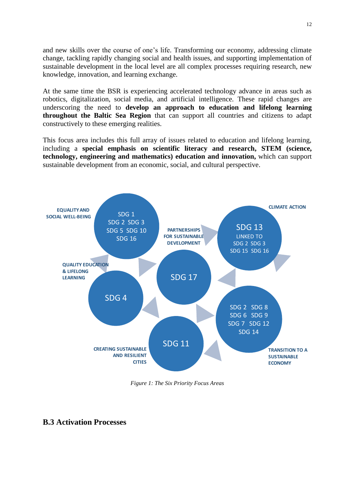and new skills over the course of one's life. Transforming our economy, addressing climate change, tackling rapidly changing social and health issues, and supporting implementation of sustainable development in the local level are all complex processes requiring research, new knowledge, innovation, and learning exchange.

At the same time the BSR is experiencing accelerated technology advance in areas such as robotics, digitalization, social media, and artificial intelligence. These rapid changes are underscoring the need to **develop an approach to education and lifelong learning throughout the Baltic Sea Region** that can support all countries and citizens to adapt constructively to these emerging realities.

This focus area includes this full array of issues related to education and lifelong learning, including a **special emphasis on scientific literacy and research, STEM (science, technology, engineering and mathematics) education and innovation,** which can support sustainable development from an economic, social, and cultural perspective.



*Figure 1: The Six Priority Focus Areas*

#### **B.3 Activation Processes**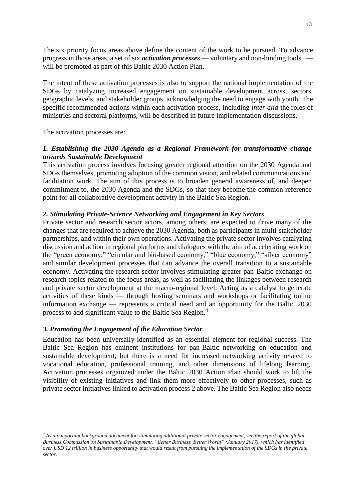The six priority focus areas above define the content of the work to be pursued. To advance progress in those areas, a set of six *activation processes* — voluntary and non-binding tools will be promoted as part of this Baltic 2030 Action Plan.

The intent of these activation processes is also to support the national implementation of the SDGs by catalyzing increased engagement on sustainable development across, sectors, geographic levels, and stakeholder groups, acknowledging the need to engage with youth. The specific recommended actions within each activation process, including *inter alia* the roles of ministries and sectoral platforms, will be described in future implementation discussions.

The activation processes are:

#### *1. Establishing the 2030 Agenda as a Regional Framework for transformative change towards Sustainable Development*

This activation process involves focusing greater regional attention on the 2030 Agenda and SDGs themselves, promoting adoption of the common vision, and related communications and facilitation work. The aim of this process is to broaden general awareness of, and deepen commitment to, the 2030 Agenda and the SDGs, so that they become the common reference point for all collaborative development activity in the Baltic Sea Region.

#### *2. Stimulating Private-Science Networking and Engagement in Key Sectors*

Private sector and research sector actors, among others, are expected to drive many of the changes that are required to achieve the 2030 Agenda, both as participants in multi-stakeholder partnerships, and within their own operations. Activating the private sector involves catalyzing discussion and action in regional platforms and dialogues with the aim of accelerating work on the "green economy," "circular and bio-based economy," "blue economy," "silver economy" and similar development processes that can advance the overall transition to a sustainable economy. Activating the research sector involves stimulating greater pan-Baltic exchange on research topics related to the focus areas, as well as facilitating the linkages between research and private sector development at the macro-regional level. Acting as a catalyst to generate activities of these kinds — through hosting seminars and workshops or facilitating online information exchange — represents a critical need and an opportunity for the Baltic 2030 process to add significant value to the Baltic Sea Region.<sup>4</sup>

#### *3. Promoting the Engagement of the Education Sector*

1

Education has been universally identified as an essential element for regional success. The Baltic Sea Region has eminent institutions for pan-Baltic networking on education and sustainable development, but there is a need for increased networking activity related to vocational education, professional training, and other dimensions of lifelong learning. Activation processes organized under the Baltic 2030 Action Plan should work to lift the visibility of existing initiatives and link them more effectively to other processes, such as private sector initiatives linked to activation process 2 above. The Baltic Sea Region also needs

*<sup>4</sup> As an important background document for stimulating additional private sector engagement, see the report of the global Business Commission on Sustainable Development, "Better Business, Better World" (January 2017), which has identified over USD 12 trillion in business opportunity that would result from pursuing the implementation of the SDGs in the private sector.*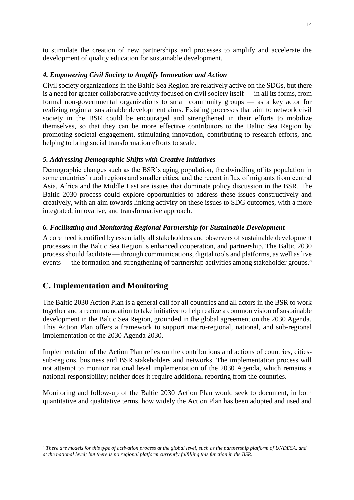to stimulate the creation of new partnerships and processes to amplify and accelerate the development of quality education for sustainable development.

#### *4. Empowering Civil Society to Amplify Innovation and Action*

Civil society organizations in the Baltic Sea Region are relatively active on the SDGs, but there is a need for greater collaborative activity focused on civil society itself — in all its forms, from formal non-governmental organizations to small community groups — as a key actor for realizing regional sustainable development aims. Existing processes that aim to network civil society in the BSR could be encouraged and strengthened in their efforts to mobilize themselves, so that they can be more effective contributors to the Baltic Sea Region by promoting societal engagement, stimulating innovation, contributing to research efforts, and helping to bring social transformation efforts to scale.

#### *5. Addressing Demographic Shifts with Creative Initiatives*

Demographic changes such as the BSR's aging population, the dwindling of its population in some countries' rural regions and smaller cities, and the recent influx of migrants from central Asia, Africa and the Middle East are issues that dominate policy discussion in the BSR. The Baltic 2030 process could explore opportunities to address these issues constructively and creatively, with an aim towards linking activity on these issues to SDG outcomes, with a more integrated, innovative, and transformative approach.

#### *6. Facilitating and Monitoring Regional Partnership for Sustainable Development*

A core need identified by essentially all stakeholders and observers of sustainable development processes in the Baltic Sea Region is enhanced cooperation, and partnership. The Baltic 2030 process should facilitate — through communications, digital tools and platforms, as well as live events — the formation and strengthening of partnership activities among stakeholder groups.<sup>5</sup>

# **C. Implementation and Monitoring**

1

The Baltic 2030 Action Plan is a general call for all countries and all actors in the BSR to work together and a recommendation to take initiative to help realize a common vision of sustainable development in the Baltic Sea Region, grounded in the global agreement on the 2030 Agenda. This Action Plan offers a framework to support macro-regional, national, and sub-regional implementation of the 2030 Agenda 2030.

Implementation of the Action Plan relies on the contributions and actions of countries, citiessub-regions, business and BSR stakeholders and networks. The implementation process will not attempt to monitor national level implementation of the 2030 Agenda, which remains a national responsibility; neither does it require additional reporting from the countries.

Monitoring and follow-up of the Baltic 2030 Action Plan would seek to document, in both quantitative and qualitative terms, how widely the Action Plan has been adopted and used and

*<sup>5</sup> There are models for this type of activation process at the global level, such as the partnership platform of UNDESA, and at the national level; but there is no regional platform currently fulfilling this function in the BSR.*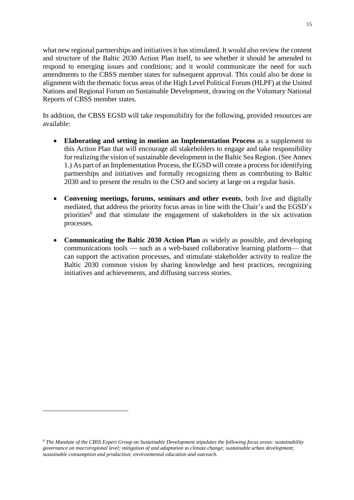what new regional partnerships and initiatives it has stimulated. It would also review the content and structure of the Baltic 2030 Action Plan itself, to see whether it should be amended to respond to emerging issues and conditions; and it would communicate the need for such amendments to the CBSS member states for subsequent approval. This could also be done in alignment with the thematic focus areas of the High Level Political Forum (HLPF) at the United Nations and Regional Forum on Sustainable Development, drawing on the Voluntary National Reports of CBSS member states.

In addition, the CBSS EGSD will take responsibility for the following, provided resources are available:

- **Elaborating and setting in motion an Implementation Process** as a supplement to this Action Plan that will encourage all stakeholders to engage and take responsibility for realizing the vision of sustainable development in the Baltic Sea Region. (See Annex 1.) As part of an Implementation Process, the EGSD will create a process for identifying partnerships and initiatives and formally recognizing them as contributing to Baltic 2030 and to present the results to the CSO and society at large on a regular basis.
- **Convening meetings, forums, seminars and other events**, both live and digitally mediated, that address the priority focus areas in line with the Chair's and the EGSD's priorities<sup>6</sup> and that stimulate the engagement of stakeholders in the six activation processes.
- **Communicating the Baltic 2030 Action Plan** as widely as possible, and developing communications tools — such as a web-based collaborative learning platform— that can support the activation processes, and stimulate stakeholder activity to realize the Baltic 2030 common vision by sharing knowledge and best practices, recognizing initiatives and achievements, and diffusing success stories.

<u>.</u>

*<sup>6</sup> The Mandate of the CBSS Expert Group on Sustainable Development stipulates the following focus areas: sustainability governance on macroregional level; mitigation of and adaptation to climate change; sustainable urban development; sustainable consumption and production; environmental education and outreach.*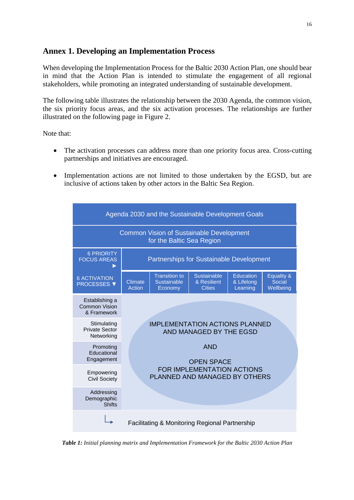# **Annex 1. Developing an Implementation Process**

When developing the Implementation Process for the Baltic 2030 Action Plan, one should bear in mind that the Action Plan is intended to stimulate the engagement of all regional stakeholders, while promoting an integrated understanding of sustainable development.

The following table illustrates the relationship between the 2030 Agenda, the common vision, the six priority focus areas, and the six activation processes*.* The relationships are further illustrated on the following page in Figure 2.

Note that:

- The activation processes can address more than one priority focus area. Cross-cutting partnerships and initiatives are encouraged.
- Implementation actions are not limited to those undertaken by the EGSD, but are inclusive of actions taken by other actors in the Baltic Sea Region.



*Table 1: Initial planning matrix and Implementation Framework for the Baltic 2030 Action Plan*